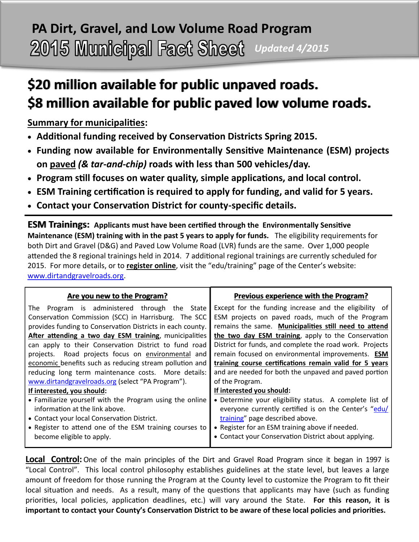## **\$20 million available for public unpaved roads. \$8 million available for public paved low volume roads.**

## **Summary for municipalities:**

- **Additional funding received by Conservation Districts Spring 2015.**
- **Funding now available for Environmentally Sensitive Maintenance (ESM) projects on paved** *(& tar-and-chip)* **roads with less than 500 vehicles/day.**
- **Program still focuses on water quality, simple applications, and local control.**
- **ESM Training certification is required to apply for funding, and valid for 5 years.**
- **Contact your Conservation District for county-specific details.**

**ESM Trainings: Applicants must have been certified through the Environmentally Sensitive Maintenance (ESM) training with in the past 5 years to apply for funds.** The eligibility requirements for both Dirt and Gravel (D&G) and Paved Low Volume Road (LVR) funds are the same. Over 1,000 people attended the 8 regional trainings held in 2014. 7 additional regional trainings are currently scheduled for 2015. For more details, or to **register online**, visit the "edu/training" page of the Center's website: [www.dirtandgravelroads.org.](http://www.dirtandgravelroads.org)

| Are you new to the Program?                                | Previous experience with the Program?                    |
|------------------------------------------------------------|----------------------------------------------------------|
| Program is administered through the State<br>The l         | Except for the funding increase and the eligibility of   |
| Conservation Commission (SCC) in Harrisburg. The SCC       | ESM projects on paved roads, much of the Program         |
| provides funding to Conservation Districts in each county. | remains the same. Municipalities still need to attend    |
| After attending a two day ESM training, municipalities     | the two day ESM training, apply to the Conservation      |
| can apply to their Conservation District to fund road      | District for funds, and complete the road work. Projects |
| projects. Road projects focus on environmental and         | remain focused on environmental improvements. ESM        |
| economic benefits such as reducing stream pollution and    | training course certifications remain valid for 5 years  |
| reducing long term maintenance costs. More details:        | and are needed for both the unpaved and paved portion    |
| www.dirtandgravelroads.org (select "PA Program").          | of the Program.                                          |
| If interested, you should:                                 | If interested you should:                                |
| • Familiarize yourself with the Program using the online   | • Determine your eligibility status. A complete list of  |
| information at the link above.                             | everyone currently certified is on the Center's "edu/    |
| • Contact your local Conservation District.                | training" page described above.                          |
| • Register to attend one of the ESM training courses to    | • Register for an ESM training above if needed.          |
| become eligible to apply.                                  | • Contact your Conservation District about applying.     |

**Local Control:** One of the main principles of the Dirt and Gravel Road Program since it began in 1997 is "Local Control". This local control philosophy establishes guidelines at the state level, but leaves a large amount of freedom for those running the Program at the County level to customize the Program to fit their local situation and needs. As a result, many of the questions that applicants may have (such as funding priorities, local policies, application deadlines, etc.) will vary around the State. **For this reason, it is important to contact your County's Conservation District to be aware of these local policies and priorities.**